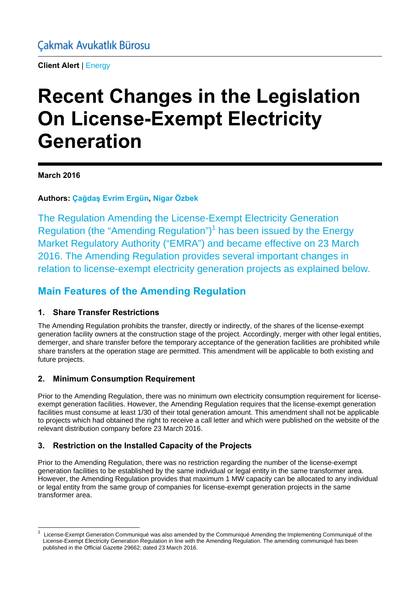**Client Alert** | Energy

# **Recent Changes in the Legislation On License-Exempt Electricity Generation**

**March 2016** 

 $\overline{\phantom{a}}$ 

**Authors: Çağdaş Evrim Ergün, Nigar Özbek**

The Regulation Amending the License-Exempt Electricity Generation Regulation (the "Amending Regulation") $<sup>1</sup>$  has been issued by the Energy</sup> Market Regulatory Authority ("EMRA") and became effective on 23 March 2016. The Amending Regulation provides several important changes in relation to license-exempt electricity generation projects as explained below.

## **Main Features of the Amending Regulation**

#### **1. Share Transfer Restrictions**

The Amending Regulation prohibits the transfer, directly or indirectly, of the shares of the license-exempt generation facility owners at the construction stage of the project. Accordingly, merger with other legal entities, demerger, and share transfer before the temporary acceptance of the generation facilities are prohibited while share transfers at the operation stage are permitted. This amendment will be applicable to both existing and future projects.

#### **2. Minimum Consumption Requirement**

Prior to the Amending Regulation, there was no minimum own electricity consumption requirement for licenseexempt generation facilities. However, the Amending Regulation requires that the license-exempt generation facilities must consume at least 1/30 of their total generation amount. This amendment shall not be applicable to projects which had obtained the right to receive a call letter and which were published on the website of the relevant distribution company before 23 March 2016.

### **3. Restriction on the Installed Capacity of the Projects**

Prior to the Amending Regulation, there was no restriction regarding the number of the license-exempt generation facilities to be established by the same individual or legal entity in the same transformer area. However, the Amending Regulation provides that maximum 1 MW capacity can be allocated to any individual or legal entity from the same group of companies for license-exempt generation projects in the same transformer area.

<sup>1</sup> License-Exempt Generation Communiqué was also amended by the Communiqué Amending the Implementing Communiqué of the License-Exempt Electricity Generation Regulation in line with the Amending Regulation. The amending communiqué has been published in the Official Gazette 29662; dated 23 March 2016.